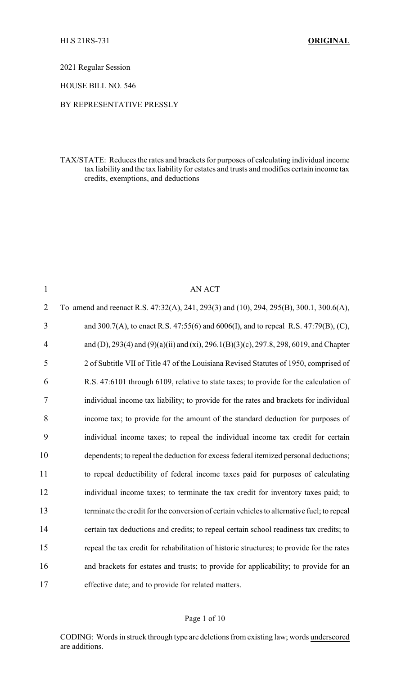2021 Regular Session

HOUSE BILL NO. 546

## BY REPRESENTATIVE PRESSLY

TAX/STATE: Reduces the rates and brackets for purposes of calculating individual income tax liability and the tax liability for estates and trusts and modifies certain income tax credits, exemptions, and deductions

| $\mathbf{1}$   | <b>AN ACT</b>                                                                              |
|----------------|--------------------------------------------------------------------------------------------|
| $\overline{2}$ | To amend and reenact R.S. 47:32(A), 241, 293(3) and (10), 294, 295(B), 300.1, 300.6(A),    |
| 3              | and 300.7(A), to enact R.S. 47:55(6) and 6006(I), and to repeal R.S. 47:79(B), (C),        |
| $\overline{4}$ | and (D), 293(4) and (9)(a)(ii) and (xi), 296.1(B)(3)(c), 297.8, 298, 6019, and Chapter     |
| 5              | 2 of Subtitle VII of Title 47 of the Louisiana Revised Statutes of 1950, comprised of      |
| 6              | R.S. 47:6101 through 6109, relative to state taxes; to provide for the calculation of      |
| 7              | individual income tax liability; to provide for the rates and brackets for individual      |
| 8              | income tax; to provide for the amount of the standard deduction for purposes of            |
| 9              | individual income taxes; to repeal the individual income tax credit for certain            |
| 10             | dependents; to repeal the deduction for excess federal itemized personal deductions;       |
| 11             | to repeal deductibility of federal income taxes paid for purposes of calculating           |
| 12             | individual income taxes; to terminate the tax credit for inventory taxes paid; to          |
| 13             | terminate the credit for the conversion of certain vehicles to alternative fuel; to repeal |
| 14             | certain tax deductions and credits; to repeal certain school readiness tax credits; to     |
| 15             | repeal the tax credit for rehabilitation of historic structures; to provide for the rates  |
| 16             | and brackets for estates and trusts; to provide for applicability; to provide for an       |
| 17             | effective date; and to provide for related matters.                                        |

#### Page 1 of 10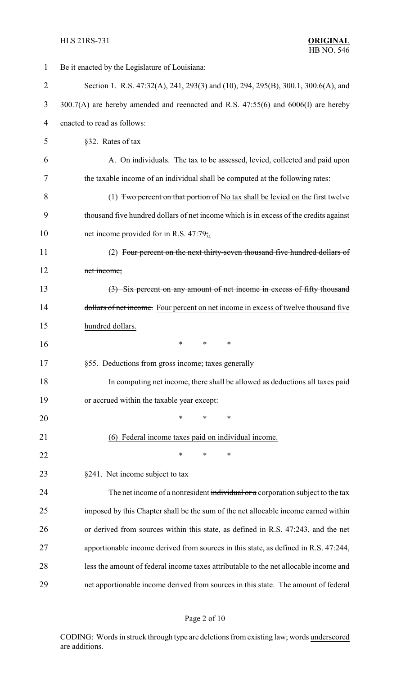| $\mathbf{1}$   | Be it enacted by the Legislature of Louisiana:                                        |  |  |
|----------------|---------------------------------------------------------------------------------------|--|--|
| $\overline{2}$ | Section 1. R.S. 47:32(A), 241, 293(3) and (10), 294, 295(B), 300.1, 300.6(A), and     |  |  |
| 3              | 300.7(A) are hereby amended and reenacted and R.S. 47:55(6) and 6006(I) are hereby    |  |  |
| 4              | enacted to read as follows:                                                           |  |  |
| 5              | §32. Rates of tax                                                                     |  |  |
| 6              | A. On individuals. The tax to be assessed, levied, collected and paid upon            |  |  |
| 7              | the taxable income of an individual shall be computed at the following rates:         |  |  |
| 8              | (1) Two percent on that portion of No tax shall be levied on the first twelve         |  |  |
| 9              | thousand five hundred dollars of net income which is in excess of the credits against |  |  |
| 10             | net income provided for in R.S. 47:79,.                                               |  |  |
| 11             | (2) Four percent on the next thirty-seven thousand five hundred dollars of            |  |  |
| 12             | net income;                                                                           |  |  |
| 13             | (3) Six percent on any amount of net income in excess of fifty thousand               |  |  |
| 14             | dollars of net income. Four percent on net income in excess of twelve thousand five   |  |  |
| 15             | hundred dollars.                                                                      |  |  |
| 16             | *<br>*<br>∗                                                                           |  |  |
| 17             | §55. Deductions from gross income; taxes generally                                    |  |  |
| 18             | In computing net income, there shall be allowed as deductions all taxes paid          |  |  |
| 19             | or accrued within the taxable year except:                                            |  |  |
| 20             | $\ast$<br>*<br>*                                                                      |  |  |
| 21             | (6) Federal income taxes paid on individual income.                                   |  |  |
| 22             | ∗<br>∗<br>∗                                                                           |  |  |
| 23             | §241. Net income subject to tax                                                       |  |  |
| 24             | The net income of a nonresident individual or a corporation subject to the tax        |  |  |
| 25             | imposed by this Chapter shall be the sum of the net allocable income earned within    |  |  |
| 26             | or derived from sources within this state, as defined in R.S. 47:243, and the net     |  |  |
| 27             | apportionable income derived from sources in this state, as defined in R.S. 47:244,   |  |  |
| 28             | less the amount of federal income taxes attributable to the net allocable income and  |  |  |
| 29             | net apportionable income derived from sources in this state. The amount of federal    |  |  |

# Page 2 of 10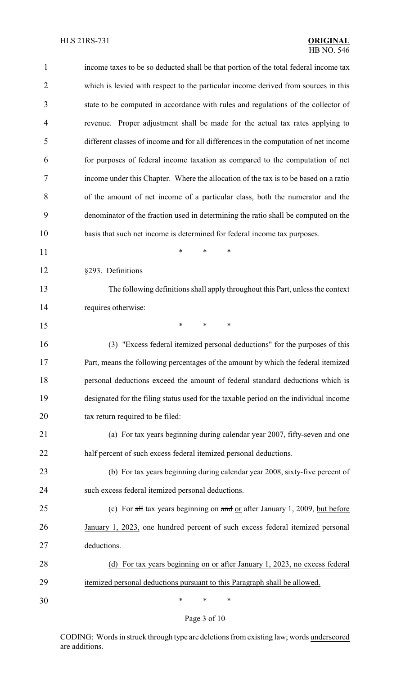| $\mathbf{1}$   | income taxes to be so deducted shall be that portion of the total federal income tax  |  |
|----------------|---------------------------------------------------------------------------------------|--|
| $\overline{2}$ | which is levied with respect to the particular income derived from sources in this    |  |
| 3              | state to be computed in accordance with rules and regulations of the collector of     |  |
| $\overline{4}$ | revenue. Proper adjustment shall be made for the actual tax rates applying to         |  |
| 5              | different classes of income and for all differences in the computation of net income  |  |
| 6              | for purposes of federal income taxation as compared to the computation of net         |  |
| 7              | income under this Chapter. Where the allocation of the tax is to be based on a ratio  |  |
| 8              | of the amount of net income of a particular class, both the numerator and the         |  |
| 9              | denominator of the fraction used in determining the ratio shall be computed on the    |  |
| 10             | basis that such net income is determined for federal income tax purposes.             |  |
| 11             | *<br>*<br>*                                                                           |  |
| 12             | §293. Definitions                                                                     |  |
| 13             | The following definitions shall apply throughout this Part, unless the context        |  |
| 14             | requires otherwise:                                                                   |  |
| 15             | *<br>*<br>∗                                                                           |  |
| 16             | (3) "Excess federal itemized personal deductions" for the purposes of this            |  |
| 17             | Part, means the following percentages of the amount by which the federal itemized     |  |
| 18             | personal deductions exceed the amount of federal standard deductions which is         |  |
| 19             | designated for the filing status used for the taxable period on the individual income |  |
| 20             | tax return required to be filed:                                                      |  |
| 21             | (a) For tax years beginning during calendar year 2007, fifty-seven and one            |  |
| 22             | half percent of such excess federal itemized personal deductions.                     |  |
| 23             | (b) For tax years beginning during calendar year 2008, sixty-five percent of          |  |
| 24             | such excess federal itemized personal deductions.                                     |  |
| 25             | (c) For all tax years beginning on and or after January 1, 2009, but before           |  |
| 26             | January 1, 2023, one hundred percent of such excess federal itemized personal         |  |
| 27             | deductions.                                                                           |  |
| 28             | (d) For tax years beginning on or after January 1, 2023, no excess federal            |  |
| 29             | itemized personal deductions pursuant to this Paragraph shall be allowed.             |  |
| 30             | ∗<br>∗<br>∗                                                                           |  |

# Page 3 of 10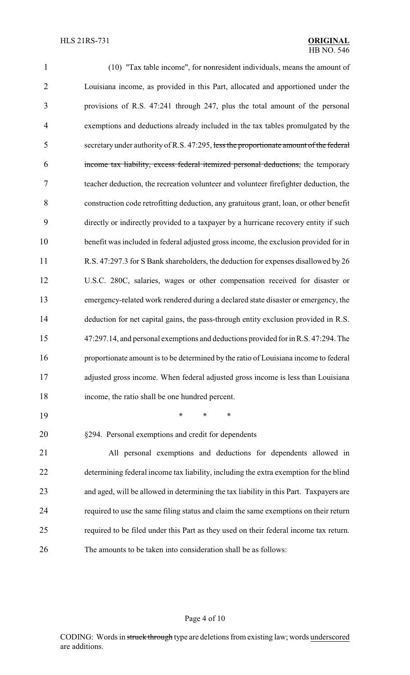| 1              | (10) "Tax table income", for nonresident individuals, means the amount of              |
|----------------|----------------------------------------------------------------------------------------|
| $\overline{2}$ | Louisiana income, as provided in this Part, allocated and apportioned under the        |
| 3              | provisions of R.S. 47:241 through 247, plus the total amount of the personal           |
| $\overline{4}$ | exemptions and deductions already included in the tax tables promulgated by the        |
| 5              | secretary under authority of R.S. 47:295, less the proportionate amount of the federal |
| 6              | income tax liability, excess federal itemized personal deductions, the temporary       |
| 7              | teacher deduction, the recreation volunteer and volunteer firefighter deduction, the   |
| 8              | construction code retrofitting deduction, any gratuitous grant, loan, or other benefit |
| 9              | directly or indirectly provided to a taxpayer by a hurricane recovery entity if such   |
| 10             | benefit was included in federal adjusted gross income, the exclusion provided for in   |
| 11             | R.S. 47:297.3 for S Bank shareholders, the deduction for expenses disallowed by 26     |
| 12             | U.S.C. 280C, salaries, wages or other compensation received for disaster or            |
| 13             | emergency-related work rendered during a declared state disaster or emergency, the     |
| 14             | deduction for net capital gains, the pass-through entity exclusion provided in R.S.    |
| 15             | 47:297.14, and personal exemptions and deductions provided for in R.S. 47:294. The     |
| 16             | proportionate amount is to be determined by the ratio of Louisiana income to federal   |
| 17             | adjusted gross income. When federal adjusted gross income is less than Louisiana       |
| 18             | income, the ratio shall be one hundred percent.                                        |
| 19             | $\ast$<br>∗<br>∗                                                                       |
| 20             | §294. Personal exemptions and credit for dependents                                    |
| 21             | All personal exemptions and deductions for dependents allowed in                       |
| 22             | determining federal income tax liability, including the extra exemption for the blind  |
| 23             | and aged, will be allowed in determining the tax liability in this Part. Taxpayers are |
| 24             | required to use the same filing status and claim the same exemptions on their return   |

 required to be filed under this Part as they used on their federal income tax return. The amounts to be taken into consideration shall be as follows:

## Page 4 of 10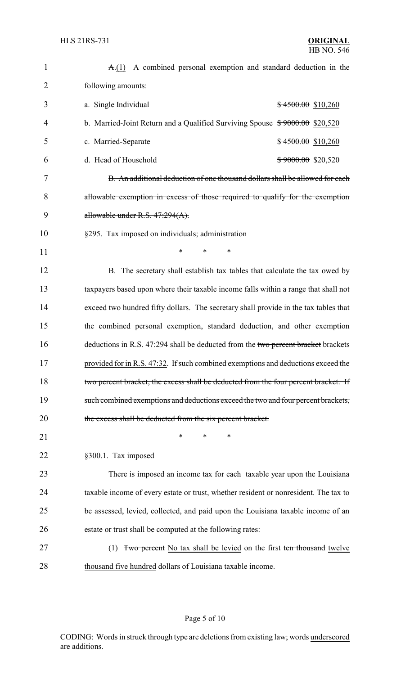| $\mathbf{1}$   | $A(1)$ A combined personal exemption and standard deduction in the                   |  |
|----------------|--------------------------------------------------------------------------------------|--|
| $\overline{2}$ | following amounts:                                                                   |  |
| 3              | a. Single Individual<br>$$4500.00$$ \$10,260                                         |  |
| 4              | b. Married-Joint Return and a Qualified Surviving Spouse $*9000.00$ \$20,520         |  |
| 5              | c. Married-Separate<br>$$4500.00$$ \$10,260                                          |  |
| 6              | d. Head of Household<br>\$9000.00 \$20,520                                           |  |
| 7              | B. An additional deduction of one thousand dollars shall be allowed for each         |  |
| 8              | allowable exemption in excess of those required to qualify for the exemption         |  |
| 9              | allowable under R.S. 47:294(A).                                                      |  |
| 10             | §295. Tax imposed on individuals; administration                                     |  |
| 11             | $\ast$<br>*<br>∗                                                                     |  |
| 12             | B. The secretary shall establish tax tables that calculate the tax owed by           |  |
| 13             | taxpayers based upon where their taxable income falls within a range that shall not  |  |
| 14             | exceed two hundred fifty dollars. The secretary shall provide in the tax tables that |  |
| 15             | the combined personal exemption, standard deduction, and other exemption             |  |
| 16             | deductions in R.S. 47:294 shall be deducted from the two percent bracket brackets    |  |
| 17             | provided for in R.S. 47:32. If such combined exemptions and deductions exceed the    |  |
| 18             | two percent bracket, the excess shall be deducted from the four percent bracket. If  |  |
| 19             | such combined exemptions and deductions exceed the two and four percent brackets,    |  |
| 20             | the excess shall be deducted from the six percent bracket.                           |  |
| 21             | *<br>*<br>*                                                                          |  |
| 22             | §300.1. Tax imposed                                                                  |  |
| 23             | There is imposed an income tax for each taxable year upon the Louisiana              |  |
| 24             | taxable income of every estate or trust, whether resident or nonresident. The tax to |  |
| 25             | be assessed, levied, collected, and paid upon the Louisiana taxable income of an     |  |
| 26             | estate or trust shall be computed at the following rates:                            |  |
| 27             | Two percent No tax shall be levied on the first ten thousand twelve<br>(1)           |  |
| 28             | thousand five hundred dollars of Louisiana taxable income.                           |  |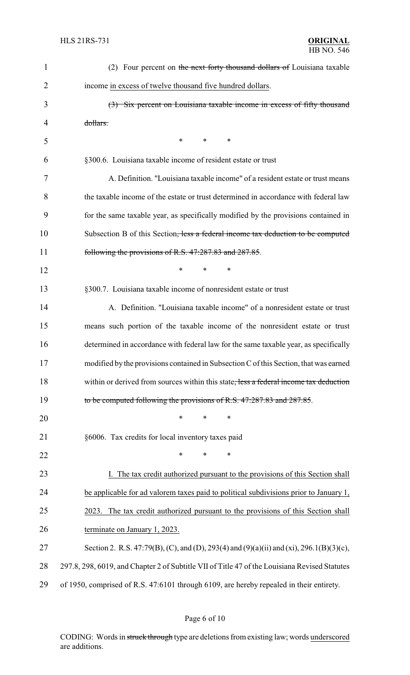| $\mathbf{1}$   | (2) Four percent on the next forty thousand dollars of Louisiana taxable                      |
|----------------|-----------------------------------------------------------------------------------------------|
| $\overline{2}$ | income in excess of twelve thousand five hundred dollars.                                     |
| 3              | (3) Six percent on Louisiana taxable income in excess of fifty thousand                       |
| 4              | dollars.                                                                                      |
| 5              | $\ast$<br>*<br>$\ast$                                                                         |
| 6              | §300.6. Louisiana taxable income of resident estate or trust                                  |
| 7              | A. Definition. "Louisiana taxable income" of a resident estate or trust means                 |
| 8              | the taxable income of the estate or trust determined in accordance with federal law           |
| 9              | for the same taxable year, as specifically modified by the provisions contained in            |
| 10             | Subsection B of this Section, less a federal income tax deduction to be computed              |
| 11             | following the provisions of R.S. 47:287.83 and 287.85.                                        |
| 12             | $\ast$<br>$\ast$<br>∗                                                                         |
| 13             | §300.7. Louisiana taxable income of nonresident estate or trust                               |
| 14             | A. Definition. "Louisiana taxable income" of a nonresident estate or trust                    |
| 15             | means such portion of the taxable income of the nonresident estate or trust                   |
| 16             | determined in accordance with federal law for the same taxable year, as specifically          |
| 17             | modified by the provisions contained in Subsection C of this Section, that was earned         |
| 18             | within or derived from sources within this state, less a federal income tax deduction         |
| 19             | to be computed following the provisions of R.S. 47:287.83 and 287.85.                         |
| 20             | $\ast$<br>*<br>*                                                                              |
| 21             | §6006. Tax credits for local inventory taxes paid                                             |
| 22             | *<br>*<br>∗                                                                                   |
| 23             | I. The tax credit authorized pursuant to the provisions of this Section shall                 |
| 24             | be applicable for ad valorem taxes paid to political subdivisions prior to January 1,         |
| 25             | The tax credit authorized pursuant to the provisions of this Section shall<br>2023.           |
| 26             | terminate on January 1, 2023.                                                                 |
| 27             | Section 2. R.S. 47:79(B), (C), and (D), 293(4) and (9)(a)(ii) and (xi), 296.1(B)(3)(c),       |
| 28             | 297.8, 298, 6019, and Chapter 2 of Subtitle VII of Title 47 of the Louisiana Revised Statutes |
| 29             | of 1950, comprised of R.S. 47:6101 through 6109, are hereby repealed in their entirety.       |

# Page 6 of 10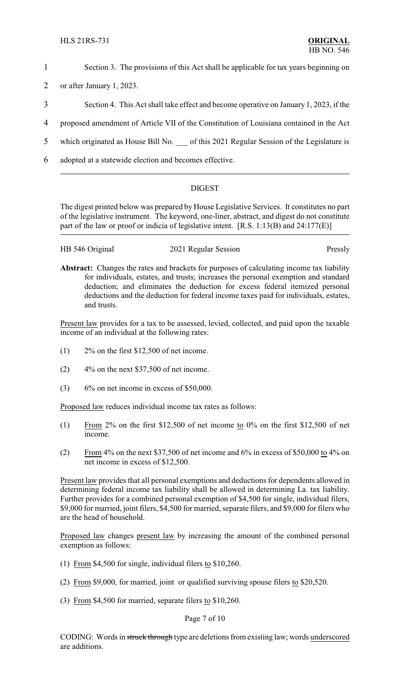- 1 Section 3. The provisions of this Act shall be applicable for tax years beginning on
- 2 or after January 1, 2023.
- 3 Section 4. This Act shall take effect and become operative on January 1, 2023, if the
- 4 proposed amendment of Article VII of the Constitution of Louisiana contained in the Act
- 5 which originated as House Bill No.  $\qquad$  of this 2021 Regular Session of the Legislature is
- 6 adopted at a statewide election and becomes effective.

## DIGEST

The digest printed below was prepared by House Legislative Services. It constitutes no part of the legislative instrument. The keyword, one-liner, abstract, and digest do not constitute part of the law or proof or indicia of legislative intent. [R.S. 1:13(B) and 24:177(E)]

| HB 546 Original | 2021 Regular Session | Pressly |
|-----------------|----------------------|---------|
|-----------------|----------------------|---------|

**Abstract:** Changes the rates and brackets for purposes of calculating income tax liability for individuals, estates, and trusts; increases the personal exemption and standard deduction; and eliminates the deduction for excess federal itemized personal deductions and the deduction for federal income taxes paid for individuals, estates, and trusts.

Present law provides for a tax to be assessed, levied, collected, and paid upon the taxable income of an individual at the following rates:

- $(1)$  2\% on the first \$12,500 of net income.
- $(2)$  4% on the next \$37,500 of net income.
- $(3)$  6% on net income in excess of \$50,000.

Proposed law reduces individual income tax rates as follows:

- (1) From 2% on the first \$12,500 of net income to 0% on the first \$12,500 of net income.
- (2) From 4% on the next \$37,500 of net income and 6% in excess of \$50,000 to 4% on net income in excess of \$12,500.

Present law provides that all personal exemptions and deductions for dependents allowed in determining federal income tax liability shall be allowed in determining La. tax liability. Further provides for a combined personal exemption of \$4,500 for single, individual filers, \$9,000 for married, joint filers, \$4,500 for married, separate filers, and \$9,000 for filers who are the head of household.

Proposed law changes present law by increasing the amount of the combined personal exemption as follows:

- (1) From \$4,500 for single, individual filers to \$10,260.
- (2) From \$9,000, for married, joint or qualified surviving spouse filers to \$20,520.
- (3) From \$4,500 for married, separate filers to \$10,260.

Page 7 of 10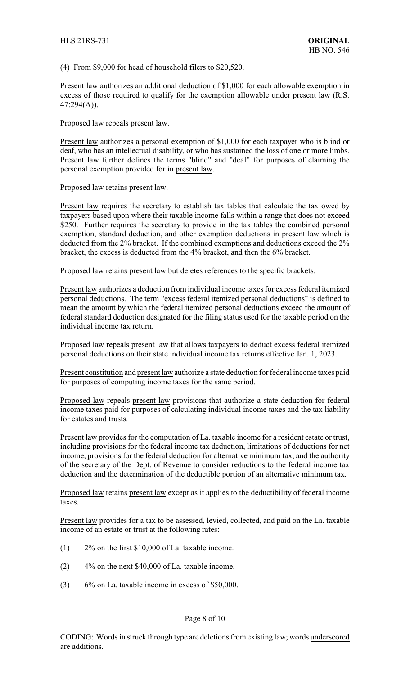(4) From \$9,000 for head of household filers to \$20,520.

Present law authorizes an additional deduction of \$1,000 for each allowable exemption in excess of those required to qualify for the exemption allowable under present law (R.S. 47:294(A)).

Proposed law repeals present law.

Present law authorizes a personal exemption of \$1,000 for each taxpayer who is blind or deaf, who has an intellectual disability, or who has sustained the loss of one or more limbs. Present law further defines the terms "blind" and "deaf" for purposes of claiming the personal exemption provided for in present law.

Proposed law retains present law.

Present law requires the secretary to establish tax tables that calculate the tax owed by taxpayers based upon where their taxable income falls within a range that does not exceed \$250. Further requires the secretary to provide in the tax tables the combined personal exemption, standard deduction, and other exemption deductions in present law which is deducted from the 2% bracket. If the combined exemptions and deductions exceed the 2% bracket, the excess is deducted from the 4% bracket, and then the 6% bracket.

Proposed law retains present law but deletes references to the specific brackets.

Present law authorizes a deduction from individual income taxes for excess federal itemized personal deductions. The term "excess federal itemized personal deductions" is defined to mean the amount by which the federal itemized personal deductions exceed the amount of federal standard deduction designated for the filing status used for the taxable period on the individual income tax return.

Proposed law repeals present law that allows taxpayers to deduct excess federal itemized personal deductions on their state individual income tax returns effective Jan. 1, 2023.

Present constitution and present law authorize a state deduction for federal income taxes paid for purposes of computing income taxes for the same period.

Proposed law repeals present law provisions that authorize a state deduction for federal income taxes paid for purposes of calculating individual income taxes and the tax liability for estates and trusts.

Present law provides for the computation of La. taxable income for a resident estate or trust, including provisions for the federal income tax deduction, limitations of deductions for net income, provisions for the federal deduction for alternative minimum tax, and the authority of the secretary of the Dept. of Revenue to consider reductions to the federal income tax deduction and the determination of the deductible portion of an alternative minimum tax.

Proposed law retains present law except as it applies to the deductibility of federal income taxes.

Present law provides for a tax to be assessed, levied, collected, and paid on the La. taxable income of an estate or trust at the following rates:

- (1) 2% on the first \$10,000 of La. taxable income.
- $(2)$  4% on the next \$40,000 of La. taxable income.
- $(3)$  6% on La. taxable income in excess of \$50,000.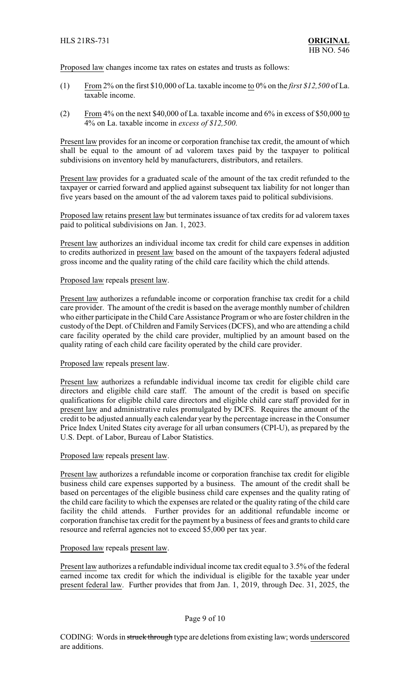Proposed law changes income tax rates on estates and trusts as follows:

- (1) From 2% on the first \$10,000 of La. taxable income to 0% on the *first \$12,500* of La. taxable income.
- (2) From 4% on the next \$40,000 of La. taxable income and 6% in excess of \$50,000 to 4% on La. taxable income in *excess of \$12,500*.

Present law provides for an income or corporation franchise tax credit, the amount of which shall be equal to the amount of ad valorem taxes paid by the taxpayer to political subdivisions on inventory held by manufacturers, distributors, and retailers.

Present law provides for a graduated scale of the amount of the tax credit refunded to the taxpayer or carried forward and applied against subsequent tax liability for not longer than five years based on the amount of the ad valorem taxes paid to political subdivisions.

Proposed law retains present law but terminates issuance of tax credits for ad valorem taxes paid to political subdivisions on Jan. 1, 2023.

Present law authorizes an individual income tax credit for child care expenses in addition to credits authorized in present law based on the amount of the taxpayers federal adjusted gross income and the quality rating of the child care facility which the child attends.

## Proposed law repeals present law.

Present law authorizes a refundable income or corporation franchise tax credit for a child care provider. The amount of the credit is based on the average monthly number of children who either participate in the Child Care Assistance Program or who are foster children in the custody of the Dept. of Children and Family Services (DCFS), and who are attending a child care facility operated by the child care provider, multiplied by an amount based on the quality rating of each child care facility operated by the child care provider.

## Proposed law repeals present law.

Present law authorizes a refundable individual income tax credit for eligible child care directors and eligible child care staff. The amount of the credit is based on specific qualifications for eligible child care directors and eligible child care staff provided for in present law and administrative rules promulgated by DCFS. Requires the amount of the credit to be adjusted annually each calendar year by the percentage increase in the Consumer Price Index United States city average for all urban consumers (CPI-U), as prepared by the U.S. Dept. of Labor, Bureau of Labor Statistics.

## Proposed law repeals present law.

Present law authorizes a refundable income or corporation franchise tax credit for eligible business child care expenses supported by a business. The amount of the credit shall be based on percentages of the eligible business child care expenses and the quality rating of the child care facility to which the expenses are related or the quality rating of the child care facility the child attends. Further provides for an additional refundable income or corporation franchise tax credit for the payment by a business of fees and grants to child care resource and referral agencies not to exceed \$5,000 per tax year.

## Proposed law repeals present law.

Present law authorizes a refundable individual income tax credit equal to 3.5% of the federal earned income tax credit for which the individual is eligible for the taxable year under present federal law. Further provides that from Jan. 1, 2019, through Dec. 31, 2025, the